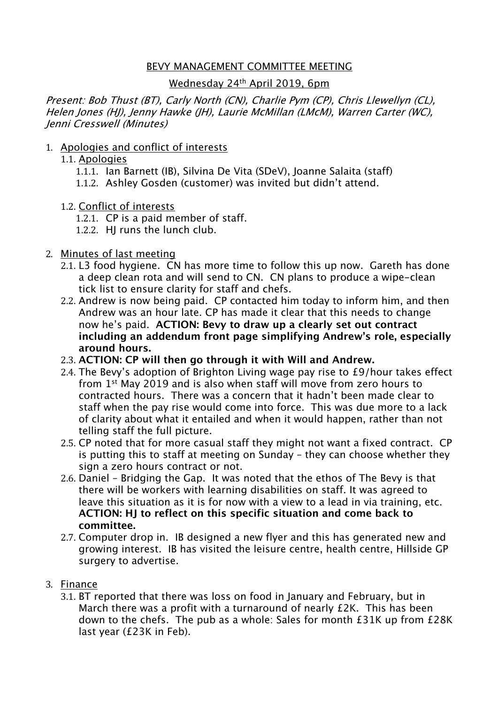## BEVY MANAGEMENT COMMITTEE MEETING

### Wednesday 24th April 2019, 6pm

Present: Bob Thust (BT), Carly North (CN), Charlie Pym (CP), Chris Llewellyn (CL), Helen Jones (HJ), Jenny Hawke (JH), Laurie McMillan (LMcM), Warren Carter (WC), Jenni Cresswell (Minutes)

## 1. Apologies and conflict of interests

- 1.1. Apologies
	- 1.1.1. Ian Barnett (IB), Silvina De Vita (SDeV), Joanne Salaita (staff)
	- 1.1.2. Ashley Gosden (customer) was invited but didn't attend.
- 1.2. Conflict of interests
	- 1.2.1. CP is a paid member of staff.
	- 1.2.2. HJ runs the lunch club.

## 2. Minutes of last meeting

- 2.1. L3 food hygiene. CN has more time to follow this up now. Gareth has done a deep clean rota and will send to CN. CN plans to produce a wipe-clean tick list to ensure clarity for staff and chefs.
- 2.2. Andrew is now being paid. CP contacted him today to inform him, and then Andrew was an hour late. CP has made it clear that this needs to change now he's paid. **ACTION: Bevy to draw up a clearly set out contract including an addendum front page simplifying Andrew's role, especially around hours.**
- 2.3. **ACTION: CP will then go through it with Will and Andrew.**
- 2.4. The Bevy's adoption of Brighton Living wage pay rise to £9/hour takes effect from 1st May 2019 and is also when staff will move from zero hours to contracted hours. There was a concern that it hadn't been made clear to staff when the pay rise would come into force. This was due more to a lack of clarity about what it entailed and when it would happen, rather than not telling staff the full picture.
- 2.5. CP noted that for more casual staff they might not want a fixed contract. CP is putting this to staff at meeting on Sunday – they can choose whether they sign a zero hours contract or not.
- 2.6. Daniel Bridging the Gap. It was noted that the ethos of The Bevy is that there will be workers with learning disabilities on staff. It was agreed to leave this situation as it is for now with a view to a lead in via training, etc. **ACTION: HJ to reflect on this specific situation and come back to committee.**
- 2.7. Computer drop in. IB designed a new flyer and this has generated new and growing interest. IB has visited the leisure centre, health centre, Hillside GP surgery to advertise.

#### 3. Finance

3.1. BT reported that there was loss on food in January and February, but in March there was a profit with a turnaround of nearly £2K. This has been down to the chefs. The pub as a whole: Sales for month £31K up from £28K last year (£23K in Feb).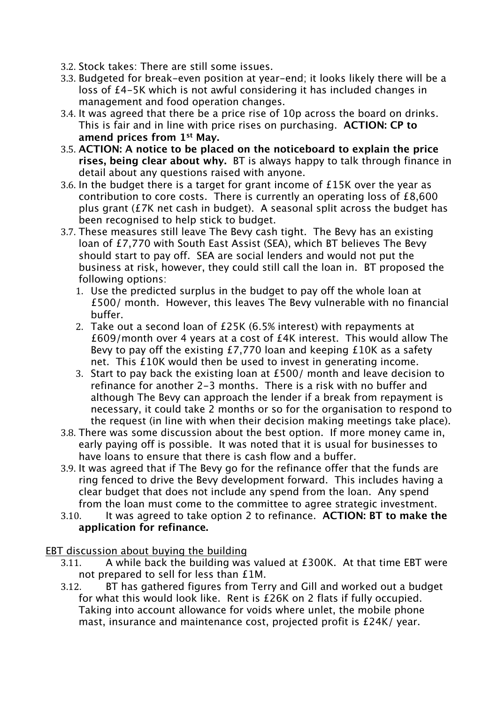- 3.2. Stock takes: There are still some issues.
- 3.3. Budgeted for break-even position at year-end; it looks likely there will be a loss of £4-5K which is not awful considering it has included changes in management and food operation changes.
- 3.4. It was agreed that there be a price rise of 10p across the board on drinks. This is fair and in line with price rises on purchasing. **ACTION: CP to amend prices from 1st May.**
- 3.5. **ACTION: A notice to be placed on the noticeboard to explain the price rises, being clear about why.** BT is always happy to talk through finance in detail about any questions raised with anyone.
- 3.6. In the budget there is a target for grant income of £15K over the year as contribution to core costs. There is currently an operating loss of £8,600 plus grant (£7K net cash in budget). A seasonal split across the budget has been recognised to help stick to budget.
- 3.7. These measures still leave The Bevy cash tight. The Bevy has an existing loan of £7,770 with South East Assist (SEA), which BT believes The Bevy should start to pay off. SEA are social lenders and would not put the business at risk, however, they could still call the loan in. BT proposed the following options:
	- 1. Use the predicted surplus in the budget to pay off the whole loan at £500/ month. However, this leaves The Bevy vulnerable with no financial buffer.
	- 2. Take out a second loan of £25K (6.5% interest) with repayments at £609/month over 4 years at a cost of £4K interest. This would allow The Bevy to pay off the existing £7,770 loan and keeping £10K as a safety net. This £10K would then be used to invest in generating income.
	- 3. Start to pay back the existing loan at £500/ month and leave decision to refinance for another 2-3 months. There is a risk with no buffer and although The Bevy can approach the lender if a break from repayment is necessary, it could take 2 months or so for the organisation to respond to the request (in line with when their decision making meetings take place).
- 3.8. There was some discussion about the best option. If more money came in, early paying off is possible. It was noted that it is usual for businesses to have loans to ensure that there is cash flow and a buffer.
- 3.9. It was agreed that if The Bevy go for the refinance offer that the funds are ring fenced to drive the Bevy development forward. This includes having a clear budget that does not include any spend from the loan. Any spend from the loan must come to the committee to agree strategic investment.
- 3.10. It was agreed to take option 2 to refinance. **ACTION: BT to make the application for refinance.**

# EBT discussion about buying the building

- 3.11. A while back the building was valued at £300K. At that time EBT were not prepared to sell for less than £1M.
- 3.12. BT has gathered figures from Terry and Gill and worked out a budget for what this would look like. Rent is £26K on 2 flats if fully occupied. Taking into account allowance for voids where unlet, the mobile phone mast, insurance and maintenance cost, projected profit is £24K/ year.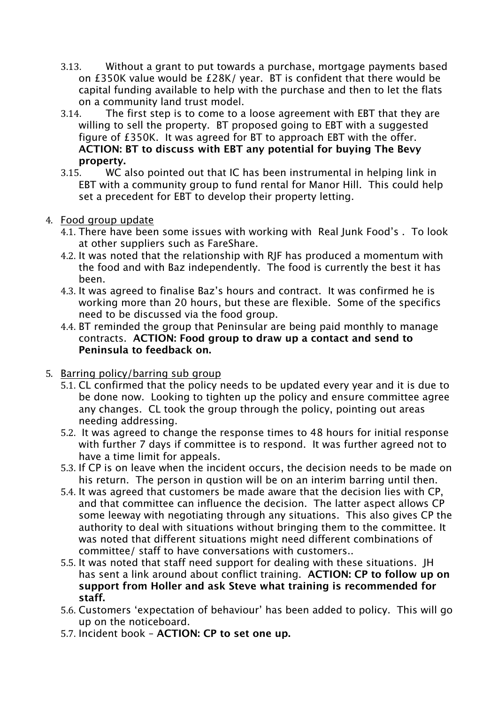- 3.13. Without a grant to put towards a purchase, mortgage payments based on £350K value would be £28K/ year. BT is confident that there would be capital funding available to help with the purchase and then to let the flats on a community land trust model.
- 3.14. The first step is to come to a loose agreement with EBT that they are willing to sell the property. BT proposed going to EBT with a suggested figure of £350K. It was agreed for BT to approach EBT with the offer. **ACTION: BT to discuss with EBT any potential for buying The Bevy property.**
- 3.15. WC also pointed out that IC has been instrumental in helping link in EBT with a community group to fund rental for Manor Hill. This could help set a precedent for EBT to develop their property letting.
- 4. Food group update
	- 4.1. There have been some issues with working with Real Junk Food's . To look at other suppliers such as FareShare.
	- 4.2. It was noted that the relationship with RJF has produced a momentum with the food and with Baz independently. The food is currently the best it has been.
	- 4.3. It was agreed to finalise Baz's hours and contract. It was confirmed he is working more than 20 hours, but these are flexible. Some of the specifics need to be discussed via the food group.
	- 4.4. BT reminded the group that Peninsular are being paid monthly to manage contracts. **ACTION: Food group to draw up a contact and send to Peninsula to feedback on.**
- 5. Barring policy/barring sub group
	- 5.1. CL confirmed that the policy needs to be updated every year and it is due to be done now. Looking to tighten up the policy and ensure committee agree any changes. CL took the group through the policy, pointing out areas needing addressing.
	- 5.2. It was agreed to change the response times to 48 hours for initial response with further 7 days if committee is to respond. It was further agreed not to have a time limit for appeals.
	- 5.3. If CP is on leave when the incident occurs, the decision needs to be made on his return. The person in qustion will be on an interim barring until then.
	- 5.4. It was agreed that customers be made aware that the decision lies with CP, and that committee can influence the decision. The latter aspect allows CP some leeway with negotiating through any situations. This also gives CP the authority to deal with situations without bringing them to the committee. It was noted that different situations might need different combinations of committee/ staff to have conversations with customers..
	- 5.5. It was noted that staff need support for dealing with these situations. JH has sent a link around about conflict training. **ACTION: CP to follow up on support from Holler and ask Steve what training is recommended for staff.**
	- 5.6. Customers 'expectation of behaviour' has been added to policy. This will go up on the noticeboard.
	- 5.7. Incident book **ACTION: CP to set one up.**